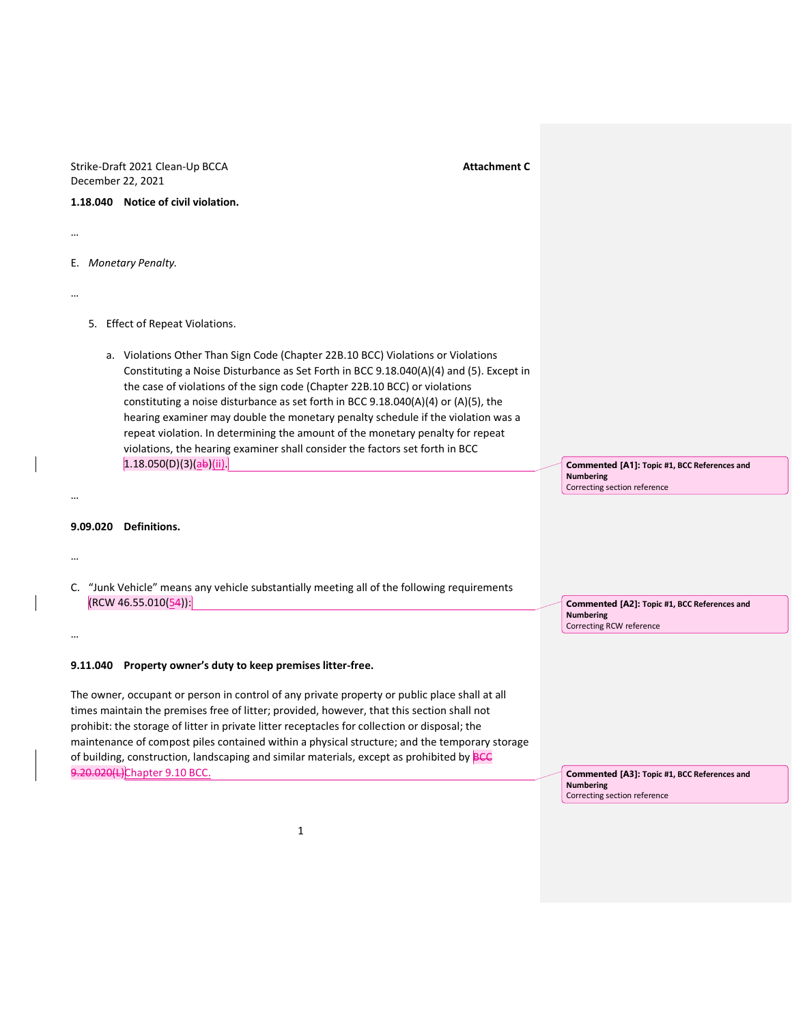Strike-Draft 2021 Clean-Up BCCA **Attachment C Attachment C** December 22, 2021

**1.18.040 Notice of civil violation.**

…

E. *Monetary Penalty.*

…

5. Effect of Repeat Violations.

a. Violations Other Than Sign Code (Chapter 22B.10 BCC) Violations or Violations Constituting a Noise Disturbance as Set Forth in BCC 9.18.040(A)(4) and (5). Except in the case of violations of the sign code (Chapter 22B.10 BCC) or violations constituting a noise disturbance as set forth in BCC 9.18.040(A)(4) or (A)(5), the hearing examiner may double the monetary penalty schedule if the violation was a repeat violation. In determining the amount of the monetary penalty for repeat violations, the hearing examiner shall consider the factors set forth in BCC  $1.18.050(D)(3)(a b)(ii).$ 

**Commented [A1]: Topic #1, BCC References and Numbering** Correcting section reference

**Commented [A2]: Topic #1, BCC References and** 

**Numbering**

Correcting RCW reference

## **9.09.020 Definitions.**

…

…

…

C. "Junk Vehicle" means any vehicle substantially meeting all of the following requirements  $[RCW 46.55.010(54)]$ 

## **9.11.040 Property owner's duty to keep premises litter-free.**

The owner, occupant or person in control of any private property or public place shall at all times maintain the premises free of litter; provided, however, that this section shall not prohibit: the storage of litter in private litter receptacles for collection or disposal; the maintenance of compost piles contained within a physical structure; and the temporary storage of building, construction, landscaping and similar materials, except as prohibited by **BCC** 9.20.020(L)Chapter 9.10 BCC.

**Commented [A3]: Topic #1, BCC References and Numbering** Correcting section reference